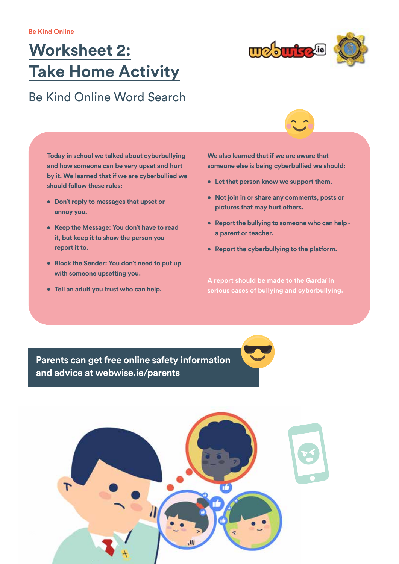## **Worksheet 2: Take Home Activity**



## Be Kind Online Word Search

**Today in school we talked about cyberbullying and how someone can be very upset and hurt by it. We learned that if we are cyberbullied we should follow these rules:** 

- **• Don't reply to messages that upset or annoy you.**
- **• Keep the Message: You don't have to read it, but keep it to show the person you report it to.**
- **• Block the Sender: You don't need to put up with someone upsetting you.**
- **• Tell an adult you trust who can help.**

**We also learned that if we are aware that someone else is being cyberbullied we should:** 

- **• Let that person know we support them.**
- **• Not join in or share any comments, posts or pictures that may hurt others.**
- **• Report the bullying to someone who can help a parent or teacher.**
- **• Report the cyberbullying to the platform.**

**A report should be made to the Gardaí in serious cases of bullying and cyberbullying.** 

**Parents can get free online safety information and advice at webwise.ie/parents**